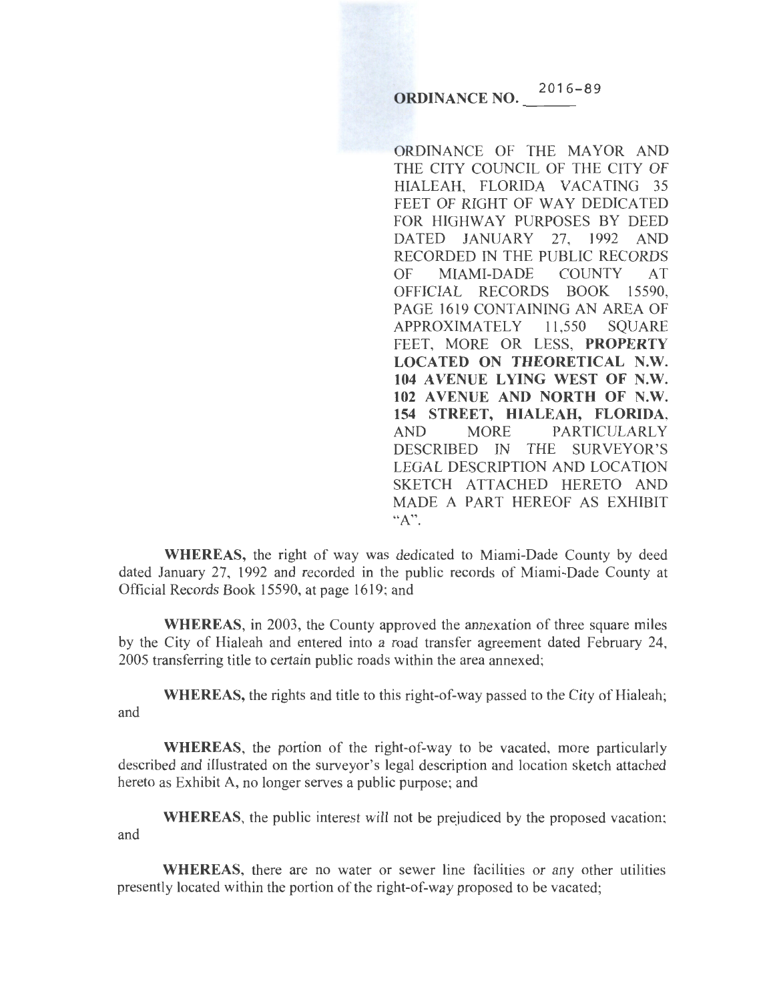**ORDINANCE NO.**  $^{2016-89}$ 

ORDINANCE OF THE MAYOR AND THE CITY COUNCIL OF THE CITY OF HIALEAH, FLORIDA VACATING 35 FEET OF RIGHT OF WAY DEDICATED FOR HIGHWAY PURPOSES BY DEED DATED JANUARY 27, 1992 AND RECORDED IN THE PUBLIC RECORDS OF MIAMI-DADE COUNTY AT OFFICIAL RECORDS BOOK 15590, PAGE 1619 CONTAINING AN AREA OF APPROXIMATELY 11,550 SQUARE FEET, MORE OR LESS, PROPERTY LOCATED ON THEORETICAL N.W. 104 AVENUE LYING WEST OF N.W. 102 A VENUE AND NORTH OF N.W. 154 STREET, HIALEAH, FLORIDA, AND MORE PARTICULARLY DESCRIBED IN THE SURVEYOR'S LEGAL DESCRIPTION AND LOCATION SKETCH ATTACHED HERETO AND MADE A PART HEREOF AS EXHIDIT  $"A"$ .

WHEREAS, the right of way was dedicated to Miami-Dade County by deed dated January 27, 1992 and recorded in the public records of Miami-Dade County at Official Records Book 15590, at page 1619; and

WHEREAS, in 2003, the County approved the annexation of three square miles by the City of Hialeah and entered into a road transfer agreement dated February 24, 2005 transferring title to certain public roads within the area annexed;

WHEREAS, the rights and title to this right-of-way passed to the City of Hialeah; and

WHEREAS, the portion of the right-of-way to be vacated, more particularly described and illustrated on the surveyor's legal description and location sketch attached hereto as Exhibit A, no longer serves a public purpose; and

WHEREAS, the public interest will not be prejudiced by the proposed vacation; and

WHEREAS, there are no water or sewer line facilities or any other utilities presently located within the portion of the right-of-way proposed to be vacated;